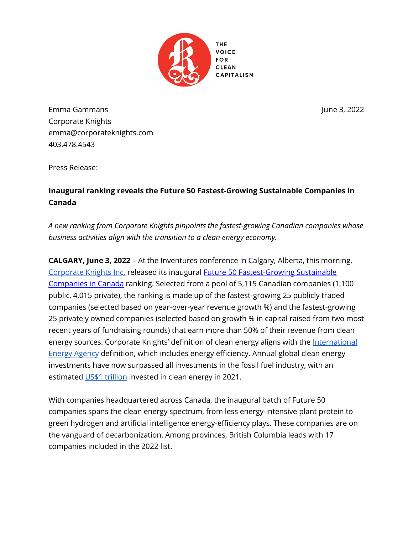

Emma Gammans June 3, 2022 Corporate Knights emma@corporateknights.com 403.478.4543

Press Release:

## **Inaugural ranking reveals the Future 50 Fastest-Growing Sustainable Companies in Canada**

*A new ranking from Corporate Knights pinpoints the fastest-growing Canadian companies whose business activities align with the transition to a clean energy economy.*

**CALGARY, June 3, 2022** – At the Inventures conference in Calgary, Alberta, this morning, [Corporate Knights Inc.](https://www.corporateknights.com/) released its inaugural [Future 50 Fastest-Growing Sustainable](https://www.corporateknights.com/rankings/future-50/2022-future-50-ranking/meet-the-50-fastest-growing-green-companies-in-canada/)  [Companies in Canada](https://www.corporateknights.com/rankings/future-50/2022-future-50-ranking/meet-the-50-fastest-growing-green-companies-in-canada/) ranking. Selected from a pool of 5,115 Canadian companies (1,100 public, 4,015 private), the ranking is made up of the fastest-growing 25 publicly traded companies (selected based on year-over-year revenue growth %) and the fastest-growing 25 privately owned companies (selected based on growth % in capital raised from two most recent years of fundraising rounds) that earn more than 50% of their revenue from clean energy sources. Corporate Knights' definition of clean energy aligns with the International [Energy Agency](https://www.iea.org/topics/tracking-clean-energy-progress) definition, which includes energy efficiency. Annual global clean energy investments have now surpassed all investments in the fossil fuel industry, with an estimated [US\\$1 trillion](https://www.iea.org/reports/world-energy-outlook-2021) invested in clean energy in 2021.

With companies headquartered across Canada, the inaugural batch of Future 50 companies spans the clean energy spectrum, from less energy-intensive plant protein to green hydrogen and artificial intelligence energy-efficiency plays. These companies are on the vanguard of decarbonization. Among provinces, British Columbia leads with 17 companies included in the 2022 list.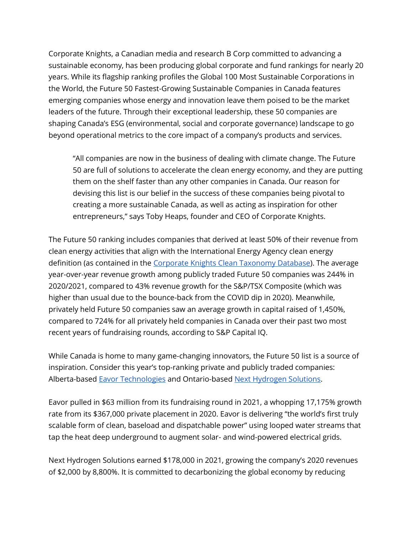Corporate Knights, a Canadian media and research B Corp committed to advancing a sustainable economy, has been producing global corporate and fund rankings for nearly 20 years. While its flagship ranking profiles the Global 100 Most Sustainable Corporations in the World, the Future 50 Fastest-Growing Sustainable Companies in Canada features emerging companies whose energy and innovation leave them poised to be the market leaders of the future. Through their exceptional leadership, these 50 companies are shaping Canada's ESG (environmental, social and corporate governance) landscape to go beyond operational metrics to the core impact of a company's products and services.

"All companies are now in the business of dealing with climate change. The Future 50 are full of solutions to accelerate the clean energy economy, and they are putting them on the shelf faster than any other companies in Canada. Our reason for devising this list is our belief in the success of these companies being pivotal to creating a more sustainable Canada, as well as acting as inspiration for other entrepreneurs," says Toby Heaps, founder and CEO of Corporate Knights.

The Future 50 ranking includes companies that derived at least 50% of their revenue from clean energy activities that align with the International Energy Agency clean energy definition (as contained in the [Corporate Knights Clean Taxonomy Database\)](https://www.corporateknights.com/wp-content/uploads/2022/02/Corporate-Knights-Clean-Taxonomy-V5.0.xlsx). The average year-over-year revenue growth among publicly traded Future 50 companies was 244% in 2020/2021, compared to 43% revenue growth for the S&P/TSX Composite (which was higher than usual due to the bounce-back from the COVID dip in 2020). Meanwhile, privately held Future 50 companies saw an average growth in capital raised of 1,450%, compared to 724% for all privately held companies in Canada over their past two most recent years of fundraising rounds, according to S&P Capital IQ.

While Canada is home to many game-changing innovators, the Future 50 list is a source of inspiration. Consider this year's top-ranking private and publicly traded companies: Alberta-based [Eavor Technologies](https://www.eavor.com/) and Ontario-based [Next Hydrogen Solutions.](https://nexthydrogen.com/)

Eavor pulled in \$63 million from its fundraising round in 2021, a whopping 17,175% growth rate from its \$367,000 private placement in 2020. Eavor is delivering "the world's first truly scalable form of clean, baseload and dispatchable power" using looped water streams that tap the heat deep underground to augment solar- and wind-powered electrical grids.

Next Hydrogen Solutions earned \$178,000 in 2021, growing the company's 2020 revenues of \$2,000 by 8,800%. It is committed to decarbonizing the global economy by reducing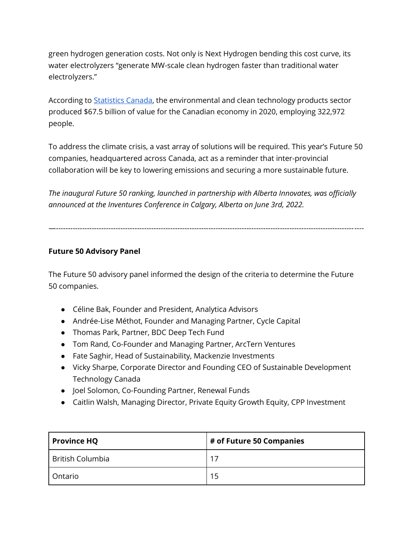green hydrogen generation costs. Not only is Next Hydrogen bending this cost curve, its water electrolyzers "generate MW-scale clean hydrogen faster than traditional water electrolyzers."

According to [Statistics Canada,](https://www150.statcan.gc.ca/n1/daily-quotidien/220106/dq220106d-eng.htm) the environmental and clean technology products sector produced \$67.5 billion of value for the Canadian economy in 2020, employing 322,972 people.

To address the climate crisis, a vast array of solutions will be required. This year's Future 50 companies, headquartered across Canada, act as a reminder that inter-provincial collaboration will be key to lowering emissions and securing a more sustainable future.

*The inaugural Future 50 ranking, launched in partnership with Alberta Innovates, was officially announced at the Inventures Conference in Calgary, Alberta on June 3rd, 2022.*

—---------------------------------------------------------------------------------------------------------------------------------

## **Future 50 Advisory Panel**

The Future 50 advisory panel informed the design of the criteria to determine the Future 50 companies.

- Céline Bak, Founder and President, Analytica Advisors
- Andrée-Lise Méthot, Founder and Managing Partner, Cycle Capital
- Thomas Park, Partner, BDC Deep Tech Fund
- Tom Rand, Co-Founder and Managing Partner, ArcTern Ventures
- Fate Saghir, Head of Sustainability, Mackenzie Investments
- Vicky Sharpe, Corporate Director and Founding CEO of Sustainable Development Technology Canada
- Joel Solomon, Co-Founding Partner, Renewal Funds
- Caitlin Walsh, Managing Director, Private Equity Growth Equity, CPP Investment

| <b>Province HQ</b> | $#$ of Future 50 Companies |
|--------------------|----------------------------|
| British Columbia   | 17                         |
| Ontario            | 15                         |